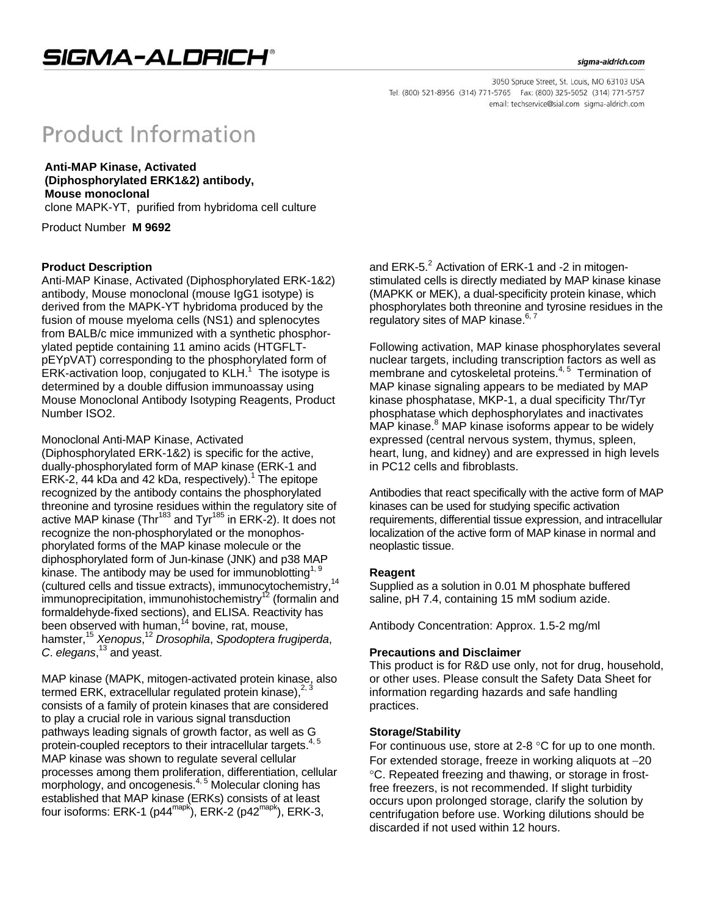#### sigma-aldrich.com

3050 Spruce Street, St. Louis, MO 63103 USA Tel: (800) 521-8956 (314) 771-5765 Fax: (800) 325-5052 (314) 771-5757 email: techservice@sial.com sigma-aldrich.com

# **Product Information**

 **Anti-MAP Kinase, Activated (Diphosphorylated ERK1&2) antibody, Mouse monoclonal** 

clone MAPK-YT, purified from hybridoma cell culture

Product Number **M 9692** 

# **Product Description**

Anti-MAP Kinase, Activated (Diphosphorylated ERK-1&2) antibody, Mouse monoclonal (mouse IgG1 isotype) is derived from the MAPK-YT hybridoma produced by the fusion of mouse myeloma cells (NS1) and splenocytes from BALB/c mice immunized with a synthetic phosphorylated peptide containing 11 amino acids (HTGFLTpEYpVAT) corresponding to the phosphorylated form of ERK-activation loop, conjugated to KLH.<sup>1</sup> The isotype is determined by a double diffusion immunoassay using Mouse Monoclonal Antibody Isotyping Reagents, Product Number ISO2.

### Monoclonal Anti-MAP Kinase, Activated

(Diphosphorylated ERK-1&2) is specific for the active, dually-phosphorylated form of MAP kinase (ERK-1 and ERK-2, 44 kDa and 42 kDa, respectively).<sup>1</sup> The epitope recognized by the antibody contains the phosphorylated threonine and tyrosine residues within the regulatory site of active MAP kinase (Thr<sup>183</sup> and Tyr<sup>185</sup> in ERK-2). It does not recognize the non-phosphorylated or the monophosphorylated forms of the MAP kinase molecule or the diphosphorylated form of Jun-kinase (JNK) and p38 MAP kinase. The antibody may be used for immunoblotting<sup>1, 9</sup> (cultured cells and tissue extracts), immunocytochemistry,14 immunoprecipitation, immunohistochemistry $12$  (formalin and formaldehyde-fixed sections), and ELISA. Reactivity has been observed with human,  $14}$  bovine, rat, mouse, hamster,15 *Xenopus*, <sup>12</sup> *Drosophila*, *Spodoptera frugiperda*, *C*. *elegans*, 13 and yeast.

MAP kinase (MAPK, mitogen-activated protein kinase, also termed ERK, extracellular regulated protein kinase),<sup>2, 3</sup> consists of a family of protein kinases that are considered to play a crucial role in various signal transduction pathways leading signals of growth factor, as well as  $G_{15}$ protein-coupled receptors to their intracellular targets. MAP kinase was shown to regulate several cellular processes among them proliferation, differentiation, cellular morphology, and oncogenesis.<sup>4, 5</sup> Molecular cloning has established that MAP kinase (ERKs) consists of at least four isoforms: ERK-1 (p44mapk), ERK-2 (p42mapk), ERK-3,

and ERK-5. $2$  Activation of ERK-1 and -2 in mitogenstimulated cells is directly mediated by MAP kinase kinase (MAPKK or MEK), a dual-specificity protein kinase, which phosphorylates both threonine and tyrosine residues in the regulatory sites of MAP kinase.<sup>6, 7</sup>

Following activation, MAP kinase phosphorylates several nuclear targets, including transcription factors as well as membrane and cytoskeletal proteins.<sup>4, 5</sup> Termination of MAP kinase signaling appears to be mediated by MAP kinase phosphatase, MKP-1, a dual specificity Thr/Tyr phosphatase which dephosphorylates and inactivates MAP kinase.<sup>8</sup> MAP kinase isoforms appear to be widely expressed (central nervous system, thymus, spleen, heart, lung, and kidney) and are expressed in high levels in PC12 cells and fibroblasts.

Antibodies that react specifically with the active form of MAP kinases can be used for studying specific activation requirements, differential tissue expression, and intracellular localization of the active form of MAP kinase in normal and neoplastic tissue.

# **Reagent**

Supplied as a solution in 0.01 M phosphate buffered saline, pH 7.4, containing 15 mM sodium azide.

Antibody Concentration: Approx. 1.5-2 mg/ml

#### **Precautions and Disclaimer**

This product is for R&D use only, not for drug, household, or other uses. Please consult the Safety Data Sheet for information regarding hazards and safe handling practices.

#### **Storage/Stability**

For continuous use, store at 2-8  $\degree$ C for up to one month. For extended storage, freeze in working aliquots at  $-20$ C. Repeated freezing and thawing, or storage in frostfree freezers, is not recommended. If slight turbidity occurs upon prolonged storage, clarify the solution by centrifugation before use. Working dilutions should be discarded if not used within 12 hours.